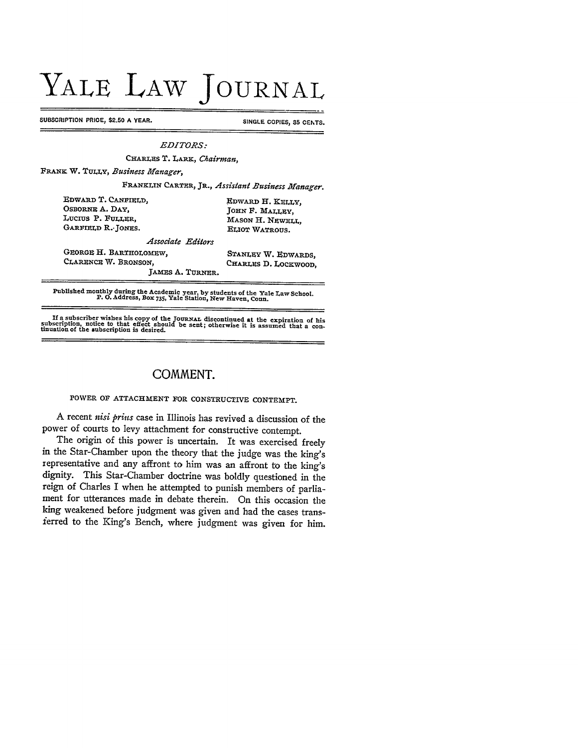## YALE LAW **JOURNAL**

SUBSCRIPTION PRICE, \$2.50 A YEAR. SINGLE COPIES, 35 CENTS.

*EDITORS:*

**CHARLES** T. LARx, *Chairman,*

FRANK W. **TULLY,** *Business Manager,*

**FRANKI,IN CARTER,** JR., *Assistant Business Manager.*

| Edward T. Canfield.    | EDWARD H. KELLY.    |
|------------------------|---------------------|
| OSBORNE A. DAY,        | JOHN F. MALLEY,     |
| LUCIUS P. FULLER,      | MASON H. NEWELL,    |
| Garfield R. Jones.     | ELIOT WATROUS.      |
| Associate Editors      |                     |
| GEORGE H. BARTHOLOMEW. | $S$ TANT TV W Frwar |

**GEORGE** H. **BARTHOLOMEW, STANLEY** W. **EDWARDS,**

CHARLES D. LOCKWOOD,

JAMES A. TURNER.

**Published monthly during the** Academic **year. by students of the Yale Law School. P. 0. Address, Box 735, Yale Station, New Haven, Conn.**

If a subscriber wishes his copy of the JOURNAL discontinued at the expiration of his subscription, notice to that effect should be sent; otherwise it is assumed that a continuation of the subscription is desired.

## **COMMENT.**

POWER **OF** ATTACHMENT **FOR CONSTRUCTIVE CONTEMPT.**

A recent *nisi prius* case in Illinois has revived a discussion of the power of courts to levy attachment for constructive contempt.

The origin of this power is uncertain. It was exercised freely in the Star-Chamber upon the theory that the judge was the king's representative and any affront to him was an affront to the king's dignity. This Star-Chamber doctrine was boldly questioned in the reign of Charles I when he attempted to punish members of parliament for utterances made in debate therein. On this occasion the king weakened before judgment was given and had the cases transferred to the King's Bench, where judgment was given for him.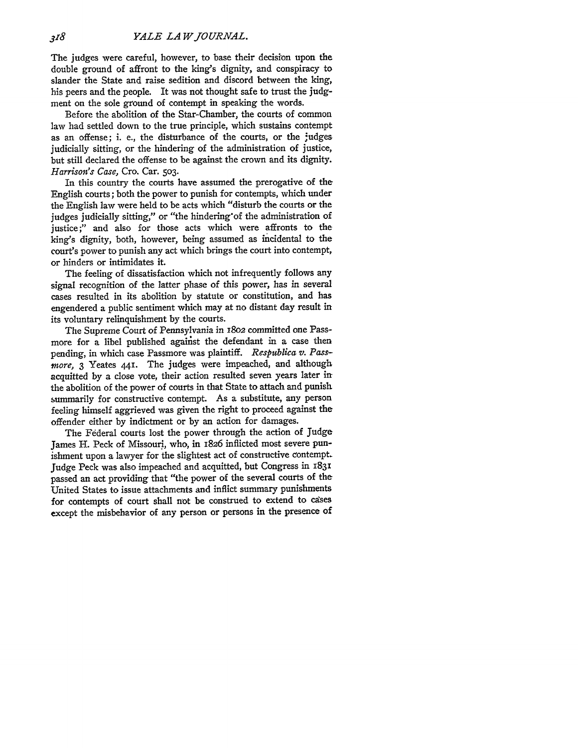The judges were careful, however, to base their decision upon the double ground of affront to the king's dignity, and conspiracy to slander the State and raise sedition and discord between the king, his peers and the people. It was not thought safe to trust the **judg**ment on the sole ground of contempt in speaking the words.

Before the abolition of the Star-Chamber, the courts of common law had settled down to the true principle, which sustains contempt as an offense; i. e., the disturbance of the courts, or the judges judicially sitting, or the hindering of the administration of justice, but still declared the offense to be against the crown and its dignity. *Harrison's Case,* Cro. Car. **503.**

In this country the courts have assumed the prerogative of the English courts; both the power to punish for contempts, which under the English law were held to be acts which "disturb the courts or the judges judicially sitting," or "the hindering'of the administration of justice;" and also for those acts which were affronts to the king's dignity, both, however, being assumed as incidental to the court's power to punish any act which brings the court into contempt, or hinders or intimidates it.

The feeling of dissatisfaction which not infrequently follows any signal recognition of the latter phase of this power, has in several cases resulted in its abolition **by** statute or constitution, and has engendered a public sentiment which may at no distant day result in its voluntary relinquishment **by** the courts.

The Supreme Court of Pennsylvania in **I8O2** committed one Passmore for a libel published against the defendant in a case then pending, in which case Passmore was plaintiff. *Respublica v. Pass*more, **3** Yeates **44.** The judges were impeached, and although acquitted **by** a close vote, their action resulted seven years later in the abolition of the power of courts in that State to attach and punish summarily for constructive contempt. As a substitute, any person feeling himself aggrieved was given the right to proceed against the offender either **by** indictment or **by** an action for damages.

The Federal courts lost the power through the action of Judge James H. Peck of Missouri, who, in **1826** inflicted most severe punishment upon a lawyer for the slightest act of constructive contempt. Judge Peck was also impeached and acquitted, but Congress in **1831** passed an act providing that "the power of the several courts of the United States to issue attachments and inflict summary punishments for contempts of court shall not be construed to extend to cases except the misbehavior of any person or persons in the presence of